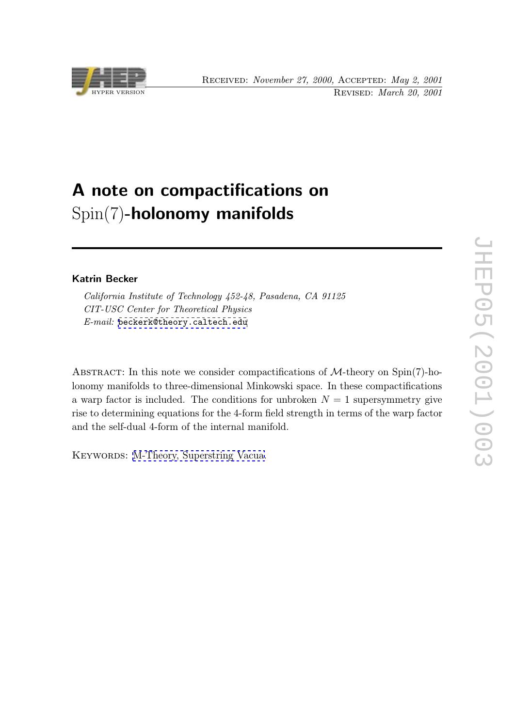

## A note on compactifications on Spin(7)-holonomy manifolds

## Katrin Becker

California Institute of Technology 452-48, Pasadena, CA 91125 CIT-USC Center for Theoretical Physics E-mail: beckerk@theory.caltech.edu

ABSTRACT: [In](mailto:beckerk@theory.caltech.edu) [this](mailto:beckerk@theory.caltech.edu) [note](mailto:beckerk@theory.caltech.edu) [we](mailto:beckerk@theory.caltech.edu) [consider](mailto:beckerk@theory.caltech.edu) [co](mailto:beckerk@theory.caltech.edu)mpactifications of  $M$ -theory on Spin(7)-holonomy manifolds to three-dimensional Minkowski space. In these compactifications a warp factor is included. The conditions for unbroken  $N = 1$  supersymmetry give rise to determining equations for the 4-form field strength in terms of the warp factor and the self-dual 4-form of the internal manifold.

KEYWORDS: M-Theory, Superstring Vacua.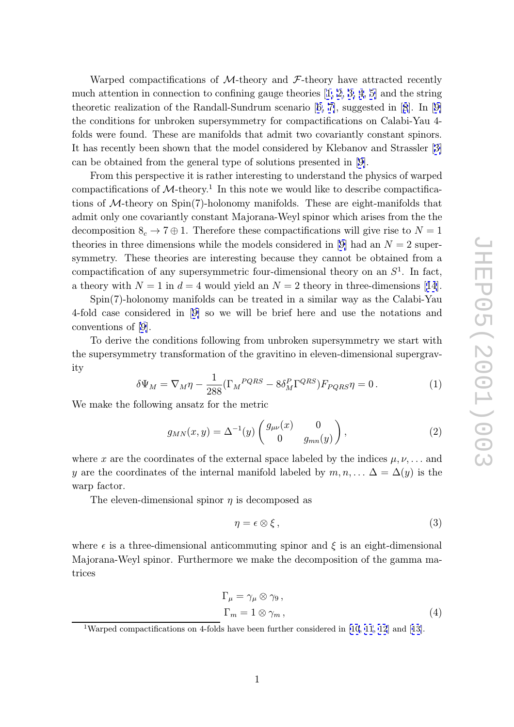Warped compactifications of  $M$ -theory and  $\mathcal{F}$ -theory have attracted recently much attention in connection to confining gauge theories  $[1, 2, 3, 4, 5]$  and the string theoretic realization of the Randall-Sundrum scenario [6, 7], suggested in [8]. In [9] the conditions for unbroken supersymmetry for compactifications on Calabi-Yau 4 folds were found. These are manifolds that admit two co[variant](#page-6-0)l[y](#page-6-0) [co](#page-7-0)nstant spinors. It has recently been shown that the model considered [by](#page-7-0) [K](#page-7-0)lebanov and St[ra](#page-7-0)ssler [[3\]](#page-7-0) can be obtained from the general type of solutions presented in [9].

From this perspective it is rather interesting to understand the physics of warped compactifications of  $\mathcal{M}\text{-theory}.$ <sup>1</sup> In this note we would like to describe compactific[a](#page-6-0)tions of M-theory on Spin(7)-holonomy manifolds. These are e[ig](#page-7-0)ht-manifolds that admit only one covariantly constant Majorana-Weyl spinor which arises from the the decomposition  $S_c \to 7 \oplus 1$ . Therefore these compactifications will give rise to  $N = 1$ theories in three dimensions while the models considered in [9] had an  $N = 2$  supersymmetry. These theories are interesting because they cannot be obtained from a compactification of any supersymmetric four-dimensional theory on an  $S<sup>1</sup>$ . In fact, a theory with  $N = 1$  i[n](#page-7-0)  $d = 4$  would yield an  $N = 2$  theory in three-dimensions [14].

Spin(7)-holonomy manifolds can be treated in a similar way as the Calabi-Yau 4-fold case considered in [9] so we will be brief here and use the notations and conventions of [9].

To derive the conditions following from unbroken supersymmetry we start with the supersymmetry transfo[rm](#page-7-0)ation of the gravitino in eleven-dimensional supergravity

$$
\delta\Psi_M = \nabla_M \eta - \frac{1}{288} (\Gamma_M{}^{PQRS} - 8\delta_M^P \Gamma^{QRS}) F_{PQRS} \eta = 0. \tag{1}
$$

We make the following ansatz for the metric

$$
g_{MN}(x,y) = \Delta^{-1}(y) \begin{pmatrix} g_{\mu\nu}(x) & 0\\ 0 & g_{mn}(y) \end{pmatrix},
$$
 (2)

where x are the coordinates of the external space labeled by the indices  $\mu, \nu, \ldots$  and y are the coordinates of the internal manifold labeled by  $m, n, \ldots \Delta = \Delta(y)$  is the warp factor.

The eleven-dimensional spinor  $\eta$  is decomposed as

$$
\eta = \epsilon \otimes \xi \,,\tag{3}
$$

where  $\epsilon$  is a three-dimensional anticommuting spinor and  $\xi$  is an eight-dimensional Majorana-Weyl spinor. Furthermore we make the decomposition of the gamma matrices

$$
\Gamma_{\mu} = \gamma_{\mu} \otimes \gamma_{9}, \n\Gamma_{m} = 1 \otimes \gamma_{m},
$$
\n(4)

<sup>1</sup>Warped compactifications on 4-folds have been further considered in [10, 11, 12] and [13].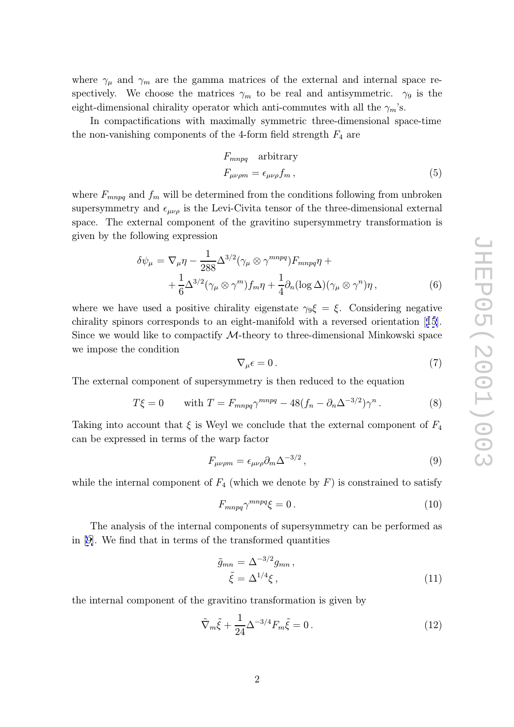<span id="page-2-0"></span>where  $\gamma_{\mu}$  and  $\gamma_{m}$  are the gamma matrices of the external and internal space respectively. We choose the matrices  $\gamma_m$  to be real and antisymmetric.  $\gamma_9$  is the eight-dimensional chirality operator which anti-commutes with all the  $\gamma_m$ 's.

In compactifications with maximally symmetric three-dimensional space-time the non-vanishing components of the 4-form field strength  $F_4$  are

$$
F_{mnpq} \quad \text{arbitrary}
$$
\n
$$
F_{\mu\nu\rho m} = \epsilon_{\mu\nu\rho} f_m \,, \tag{5}
$$

where  $F_{mnpq}$  and  $f_m$  will be determined from the conditions following from unbroken supersymmetry and  $\epsilon_{\mu\nu\rho}$  is the Levi-Civita tensor of the three-dimensional external space. The external component of the gravitino supersymmetry transformation is given by the following expression

$$
\delta\psi_{\mu} = \nabla_{\mu}\eta - \frac{1}{288}\Delta^{3/2}(\gamma_{\mu}\otimes\gamma^{mnpq})F_{mnpq}\eta + + \frac{1}{6}\Delta^{3/2}(\gamma_{\mu}\otimes\gamma^{m})f_{m}\eta + \frac{1}{4}\partial_{n}(\log\Delta)(\gamma_{\mu}\otimes\gamma^{n})\eta, \qquad (6)
$$

where we have used a positive chirality eigenstate  $\gamma_9 \xi = \xi$ . Considering negative chirality spinors corresponds to an eight-manifold with a reversed orientation [15]. Since we would like to compactify *M*-theory to three-dimensional Minkowski space we impose the condition

$$
\nabla_{\mu}\epsilon = 0. \tag{7}
$$

The external component of supersymmetry is then reduced to the equation

$$
T\xi = 0 \qquad \text{with } T = F_{mnpq} \gamma^{mnpq} - 48(f_n - \partial_n \Delta^{-3/2}) \gamma^n. \tag{8}
$$

Taking into account that  $\xi$  is Weyl we conclude that the external component of  $F_4$ can be expressed in terms of the warp factor

$$
F_{\mu\nu\rho m} = \epsilon_{\mu\nu\rho} \partial_m \Delta^{-3/2} \,, \tag{9}
$$

while the internal component of  $F_4$  (which we denote by  $F$ ) is constrained to satisfy

$$
F_{mnpq} \gamma^{mnpq} \xi = 0 \,. \tag{10}
$$

The analysis of the internal components of supersymmetry can be performed as in [9]. We find that in terms of the transformed quantities

$$
\tilde{g}_{mn} = \Delta^{-3/2} g_{mn} ,
$$
\n
$$
\tilde{\xi} = \Delta^{1/4} \xi ,
$$
\n(11)

the internal component of the gravitino transformation is given by

$$
\tilde{\nabla}_m \tilde{\xi} + \frac{1}{24} \Delta^{-3/4} F_m \tilde{\xi} = 0.
$$
\n(12)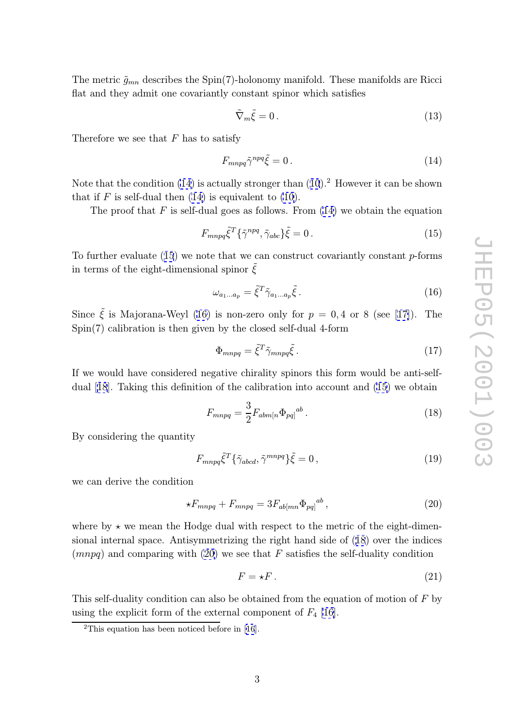<span id="page-3-0"></span>The metric  $\tilde{g}_{mn}$  describes the Spin(7)-holonomy manifold. These manifolds are Ricci flat and they admit one covariantly constant spinor which satisfies

$$
\tilde{\nabla}_m \tilde{\xi} = 0. \tag{13}
$$

Therefore we see that  $F$  has to satisfy

$$
F_{mnpq}\tilde{\gamma}^{npq}\tilde{\xi} = 0. \tag{14}
$$

Note that the condition (14) is actually stronger than (10).<sup>2</sup> However it can be shown that if  $F$  is self-dual then  $(14)$  is equivalent to  $(10)$ .

The proof that  $F$  is self-dual goes as follows. From  $(14)$  we obtain the equation

$$
F_{mnpq}\tilde{\xi}^T\{\tilde{\gamma}^{npq},\tilde{\gamma}_{abc}\}\tilde{\xi}=0.
$$
\n(15)

To further evaluate (15) we note that we can construct covariantly constant p-forms in terms of the eight-dimensional spinor  $\tilde{\xi}$ 

$$
\omega_{a_1...a_p} = \tilde{\xi}^T \tilde{\gamma}_{a_1...a_p} \tilde{\xi} \,. \tag{16}
$$

Since  $\tilde{\xi}$  is Majorana-Weyl (16) is non-zero only for  $p = 0, 4$  or 8 (see [17]). The  $Spin(7)$  calibration is then given by the closed self-dual 4-form

$$
\Phi_{mnpq} = \tilde{\xi}^T \tilde{\gamma}_{mnpq} \tilde{\xi} \,. \tag{17}
$$

If we would have considered negative chirality spinors this form would be anti-selfdual [18]. Taking this definition of the calibration into account and (15) we obtain

$$
F_{mnpq} = \frac{3}{2} F_{abm[n} \Phi_{pq]}^{ab} . \tag{18}
$$

By co[nsi](#page-7-0)dering the quantity

$$
F_{mnpq}\tilde{\xi}^T\{\tilde{\gamma}_{abcd},\tilde{\gamma}^{mnpq}\}\tilde{\xi}=0\,,\tag{19}
$$

we can derive the condition

$$
\star F_{mnpq} + F_{mnpq} = 3F_{ab[mn} \Phi_{pq]}^{ab},\tag{20}
$$

where by  $\star$  we mean the Hodge dual with respect to the metric of the eight-dimensional internal space. Antisymmetrizing the right hand side of (18) over the indices  $(mnpq)$  and comparing with (20) we see that F satisfies the self-duality condition

$$
F = \star F. \tag{21}
$$

This self-duality condition can also be obtained from the equation of motion of F by using the explicit form of the external component of  $F_4$  [16].

<sup>2</sup>This equation has been noticed before in [16].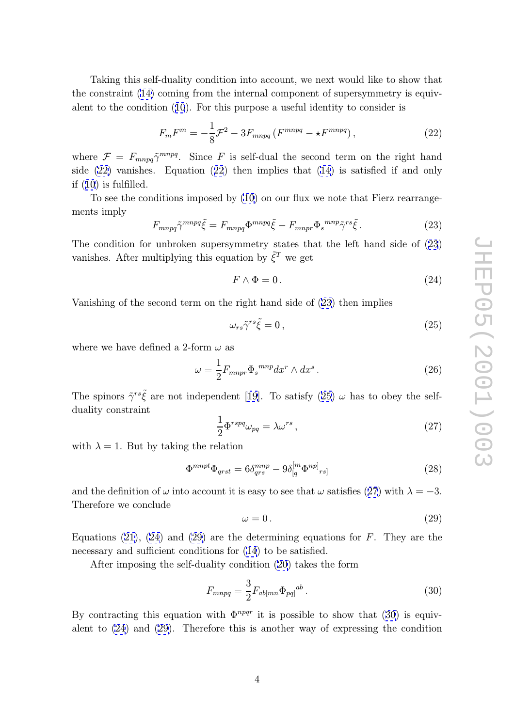<span id="page-4-0"></span>Taking this self-duality condition into account, we next would like to show that the constraint (14) coming from the internal component of supersymmetry is equivalent to the condition (10). For this purpose a useful identity to consider is

$$
F_m F^m = -\frac{1}{8} \mathcal{F}^2 - 3F_{mnpq} \left( F^{mnpq} - \star F^{mnpq} \right),\tag{22}
$$

where  $\mathcal{F} = F_{mnpq} \tilde{\gamma}^{mnpq}$ [.](#page-2-0) Since F is self-dual the second term on the right hand side (22) vanishes. Equation (22) then implies that (14) is satisfied if and only if (10) is fulfilled.

To see the conditions imposed by (10) on our flux we note that Fierz rearrangements imply

$$
F_{mnpq}\tilde{\gamma}^{mnpq}\tilde{\xi} = F_{mnpq}\Phi^{mnpq}\tilde{\xi} - F_{mnpr}\Phi_s^{mnp}\tilde{\gamma}^{rs}\tilde{\xi}.
$$
 (23)

The condition for unbroken supersym[me](#page-2-0)try states that the left hand side of (23) vanishes. After multiplying this equation by  $\tilde{\xi}^T$  we get

$$
F \wedge \Phi = 0. \tag{24}
$$

Vanishing of the second term on the right hand side of (23) then implies

$$
\omega_{rs}\tilde{\gamma}^{rs}\tilde{\xi} = 0\,,\tag{25}
$$

where we have defined a 2-form  $\omega$  as

$$
\omega = \frac{1}{2} F_{mnpr} \Phi_s^{mnp} dx^r \wedge dx^s \,. \tag{26}
$$

The spinors  $\tilde{\gamma}^{rs}\tilde{\xi}$  are not independent [19]. To satisfy (25)  $\omega$  has to obey the self-

duality constraint 
$$
\frac{1}{2} \Phi^{rspq} \omega_{pq} = \lambda \omega^{rs} \,, \tag{27}
$$

with  $\lambda = 1$ . But by taking the relation

$$
\Phi^{mnpt}\Phi_{qrst} = 6\delta_{qrs}^{mnp} - 9\delta_{[q}^{[m}\Phi^{np]}{}_{rs]}
$$
\n(28)

and the definition of  $\omega$  into account it is easy to see that  $\omega$  satisfies (27) with  $\lambda = -3$ . Therefore we conclude

$$
\omega = 0. \tag{29}
$$

Equations  $(21)$ ,  $(24)$  and  $(29)$  are the determining equations for F. They are the necessary and sufficient conditions for  $(14)$  to be satisfied.

After imposing the self-duality condition (20) takes the form

$$
F_{mnpq} = \frac{3}{2} F_{ab[mn} \Phi_{pq]}^{ab} . \tag{30}
$$

By contracting this equation with  $\Phi^{npqr}$  it is [po](#page-3-0)ssible to show that (30) is equivalent to (24) and (29). Therefore this is another way of expressing the condition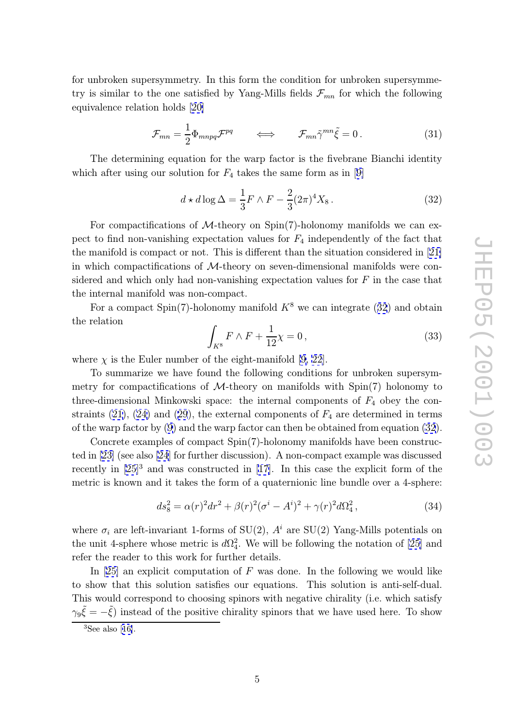for unbroken supersymmetry. In this form the condition for unbroken supersymmetry is similar to the one satisfied by Yang-Mills fields  $\mathcal{F}_{mn}$  for which the following equivalence relation holds [20]

$$
\mathcal{F}_{mn} = \frac{1}{2} \Phi_{mnpq} \mathcal{F}^{pq} \qquad \Longleftrightarrow \qquad \mathcal{F}_{mn} \tilde{\gamma}^{mn} \tilde{\xi} = 0 \,. \tag{31}
$$

The determining equa[tion](#page-7-0) for the warp factor is the fivebrane Bianchi identity which after using our solution for  $F_4$  takes the same form as in [9]

$$
d \star d \log \Delta = \frac{1}{3} F \wedge F - \frac{2}{3} (2\pi)^4 X_8. \tag{32}
$$

For compactifications of  $M$ -theory on Spin(7)-holonomy m[an](#page-7-0)ifolds we can expect to find non-vanishing expectation values for  $F_4$  independently of the fact that the manifold is compact or not. This is different than the situation considered in [21] in which compactifications of M-theory on seven-dimensional manifolds were considered and which only had non-vanishing expectation values for  $F$  in the case that the internal manifold was non-compact.

For a compact Spin(7)-holonomy manifold  $K^8$  we can integrate (32) and obtain the relation

$$
\int_{K^8} F \wedge F + \frac{1}{12} \chi = 0, \qquad (33)
$$

where  $\chi$  is the Euler number of the eight-manifold [9, 22].

To summarize we have found the following conditions for unbroken supersymmetry for compactifications of  $M$ -theory on manifolds with  $Spin(7)$  holonomy to three-dimensi[o](#page-7-0)nal Minkowski space: the internal co[mpo](#page-8-0)nents of  $F_4$  obey the constraints (21), (24) and (29), the external components of  $F_4$  are determined in terms of the warp factor by (9) and the warp factor can then be obtained from equation (32).

Concrete examples of compact Spin(7)-holonomy manifolds have been constructed in [23[\] \(s](#page-3-0)ee [als](#page-4-0)o [24] f[or](#page-4-0) further discussion). A non-compact example was discussed recently in [25] <sup>3</sup> and [w](#page-2-0)as constructed in [17]. In this case the explicit form of the metric is known and it takes the form of a quaternionic line bundle over a 4-sphere:

$$
ds_8^2 = \alpha(r)^2 dr^2 + \beta(r)^2 (\sigma^i - A^i)^2 + \gamma(r)^2 d\Omega_4^2, \qquad (34)
$$

where  $\sigma_i$  are left-invariant 1-forms of SU(2),  $A^i$  are SU(2) Yang-Mills potentials on the unit 4-sphere whose metric is  $d\Omega_4^2$ . We will be following the notation of [25] and refer the reader to this work for further details.

In  $[25]$  an explicit computation of F was done. In the following we would like to show that this solution satisfies our equations. This solution is anti-s[elf-](#page-8-0)dual. This would correspond to choosing spinors with negative chirality (i.e. which satisfy  $\gamma_9 \tilde{\xi} = -\tilde{\xi}$ ) instead of the positive chirality spinors that we have used here. To show

 ${}^{3}$ See also [16].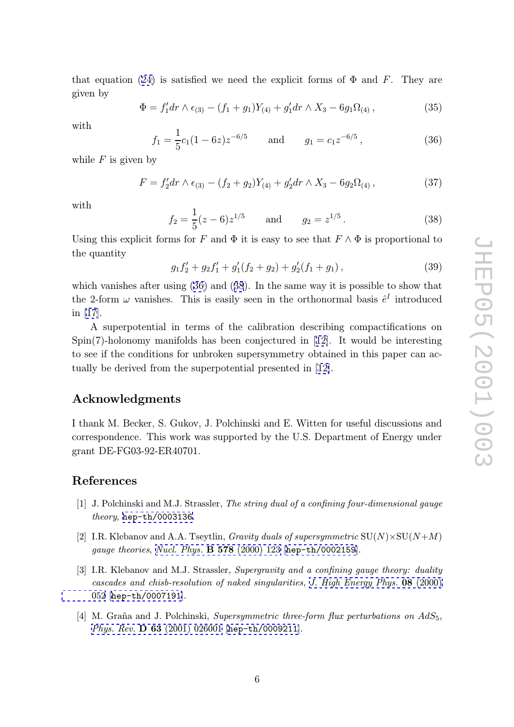<span id="page-6-0"></span>that equation (24) is satisfied we need the explicit forms of  $\Phi$  and F. They are given by

$$
\Phi = f_1' dr \wedge \epsilon_{(3)} - (f_1 + g_1) Y_{(4)} + g_1' dr \wedge X_3 - 6g_1 \Omega_{(4)} , \qquad (35)
$$

with

$$
f_1 = \frac{1}{5}c_1(1 - 6z)z^{-6/5}
$$
 and  $g_1 = c_1z^{-6/5}$ , (36)

while  $F$  is given by

$$
F = f_2'dr \wedge \epsilon_{(3)} - (f_2 + g_2)Y_{(4)} + g_2'dr \wedge X_3 - 6g_2\Omega_{(4)}\,,\tag{37}
$$

with

$$
f_2 = \frac{1}{5}(z - 6)z^{1/5} \qquad \text{and} \qquad g_2 = z^{1/5}.
$$
 (38)

Using this explicit forms for F and  $\Phi$  it is easy to see that  $F \wedge \Phi$  is proportional to the quantity

$$
g_1 f_2' + g_2 f_1' + g_1' (f_2 + g_2) + g_2' (f_1 + g_1) , \qquad (39)
$$

which vanishes after using (36) and (38). In the same way it is possible to show that the 2-form  $\omega$  vanishes. This is easily seen in the orthonormal basis  $\hat{e}^I$  introduced in [17].

A superpotential in terms of the calibration describing compactifications on Spin(7)-holonomy manifolds has been conjectured in  $[12]$ . It would be interesting to [see](#page-7-0) if the conditions for unbroken supersymmetry obtained in this paper can actually be derived from the superpotential presented in [12].

## Acknowledgments

I thank M. Becker, S. Gukov, J. Polchinski and E. Witten for useful discussions and correspondence. This work was supported by the U.S. Department of Energy under grant DE-FG03-92-ER40701.

## References

- [1] J. Polchinski and M.J. Strassler, The string dual of a confining four-dimensional gauge theory, hep-th/0003136.
- [2] I.R. Klebanov and A.A. Tseytlin, *Gravity duals of supersymmetric*  $SU(N) \times SU(N+M)$ gauge theories, Nucl. Phys. **B 578** (2000) 123 [hep-th/0002159].
- [3] I.R. Klebanov and M.J. Strassler, Supergravity and a confining gauge theory: duality cascades and chisb-resolution of naked singularities , [J.](http://xxx.lanl.gov/abs/hep-th/0002159) [High](http://xxx.lanl.gov/abs/hep-th/0002159) [Ene](http://xxx.lanl.gov/abs/hep-th/0002159)rgy Phys. 08 (2000) 052 [hep-th/0[007191](http://www-spires.slac.stanford.edu/spires/find/hep/www?j=NUPHA%2CB578%2C123)].
- [4] M. Graña and J. Polchinski, Supersymmetric three-f[orm](http://jhep.sissa.it/stdsearch?paper=08%282000%29052) [flux](http://jhep.sissa.it/stdsearch?paper=08%282000%29052) [perturbations](http://jhep.sissa.it/stdsearch?paper=08%282000%29052) [on](http://jhep.sissa.it/stdsearch?paper=08%282000%29052)  $AdS_5$ , [Phy](http://jhep.sissa.it/stdsearch?paper=08%282000%29052)s. Rev. [D](http://xxx.lanl.gov/abs/hep-th/0007191) [63](http://xxx.lanl.gov/abs/hep-th/0007191) (2001) 026001 [hep-th/0009211].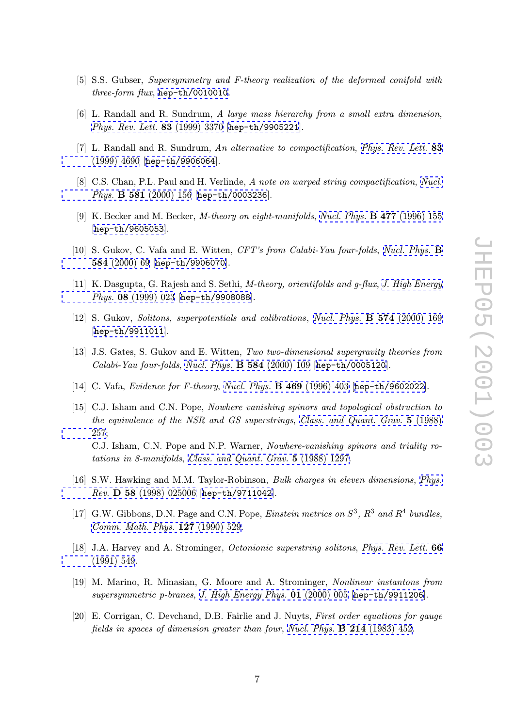- <span id="page-7-0"></span>[5] S.S. Gubser, Supersymmetry and F-theory realization of the deformed conifold with three-form flux, hep-th/0010010.
- [6] L. Randall and R. Sundrum, A large mass hierarchy from a small extra dimension , Phys. Rev. Lett. 83 [\(1999\)](http://xxx.lanl.gov/abs/hep-th/0010010) [3370](http://xxx.lanl.gov/abs/hep-th/0010010) [\[](http://xxx.lanl.gov/abs/hep-th/0010010)hep-th/9905221].
- [7] L. Randall and R. Sundrum, An alternative to compactification, Phys. Rev. Lett. 83 [\(1999\) 4690 \[](http://www-spires.slac.stanford.edu/spires/find/hep/www?j=PRLTA%2C83%2C3370)hep-th/9906064].
- [8] C.S. Chan, P.L. Paul and H. Verlinde, A note on warped string co[mpactification](http://www-spires.slac.stanford.edu/spires/find/hep/www?j=PRLTA%2C83%2C4690), Nucl. Phys. **[B](http://www-spires.slac.stanford.edu/spires/find/hep/www?j=PRLTA%2C83%2C4690) [581](http://www-spires.slac.stanford.edu/spires/find/hep/www?j=PRLTA%2C83%2C4690)** [\(2000\)](http://xxx.lanl.gov/abs/hep-th/9906064) [156](http://xxx.lanl.gov/abs/hep-th/9906064) [\[](http://xxx.lanl.gov/abs/hep-th/9906064)hep-th/0003236].
- [9] K. Becker and M. Becker, *M-theory on eight-manifolds*, *Nucl. Phys.* **B 477** (199[6\)](http://www-spires.slac.stanford.edu/spires/find/hep/www?j=NUPHA%2CB581%2C156) [155](http://www-spires.slac.stanford.edu/spires/find/hep/www?j=NUPHA%2CB581%2C156) [hep-th/9605053[\].](http://www-spires.slac.stanford.edu/spires/find/hep/www?j=NUPHA%2CB581%2C156)
- [10] S. Gukov, C. Vafa and E. Witten, CFT's from Calabi-[Yau](http://www-spires.slac.stanford.edu/spires/find/hep/www?j=NUPHA%2CB477%2C155) [four-folds](http://www-spires.slac.stanford.edu/spires/find/hep/www?j=NUPHA%2CB477%2C155), Nucl. Phys. **B** 584 [\(2000\)](http://xxx.lanl.gov/abs/hep-th/9605053) [69](http://xxx.lanl.gov/abs/hep-th/9605053) [\[](http://xxx.lanl.gov/abs/hep-th/9605053)hep-th/9906070].
- [11] K. Dasgupta, G. Rajesh and S. Sethi, M-theory, orientifolds and g-flux, [J.](http://www-spires.slac.stanford.edu/spires/find/hep/www?j=NUPHA%2CB584%2C69) [High](http://www-spires.slac.stanford.edu/spires/find/hep/www?j=NUPHA%2CB584%2C69) [Energy](http://www-spires.slac.stanford.edu/spires/find/hep/www?j=NUPHA%2CB584%2C69) [Phys.](http://www-spires.slac.stanford.edu/spires/find/hep/www?j=NUPHA%2CB584%2C69) 08 (1999[\)](http://xxx.lanl.gov/abs/hep-th/9906070) [023](http://xxx.lanl.gov/abs/hep-th/9906070) [\[](http://xxx.lanl.gov/abs/hep-th/9906070)hep-th/9908088].
- [12] S. Gukov, Solitons, superpotentials and calibrations, Nucl. Phys. **B 574** [\(2000\)](http://jhep.sissa.it/stdsearch?paper=08%281999%29023) [169](http://jhep.sissa.it/stdsearch?paper=08%281999%29023) [hep-th/9911011[\].](http://jhep.sissa.it/stdsearch?paper=08%281999%29023)
- [13] J.S. Gates, S. Gukov and E. Witten, Two two-dimensional supergravity theories from [Calabi-Yau](http://xxx.lanl.gov/abs/hep-th/9911011) [four-fo](http://xxx.lanl.gov/abs/hep-th/9911011)lds , Nucl. Phys. B 584 (2000) 109 [[hep-th/0005120](http://www-spires.slac.stanford.edu/spires/find/hep/www?j=NUPHA%2CB574%2C169)].
- [14] C. Vafa, Evidence for F-theory, Nucl. Phys. B 469 (1996) 403 [hep-th/9602022].
- [15] C.J. Isham and C.N. Pope, [Nowhere vanishing spinor](http://www-spires.slac.stanford.edu/spires/find/hep/www?j=NUPHA%2CB584%2C109)[s and topological o](http://xxx.lanl.gov/abs/hep-th/0005120)bstruction to the equivalence of the NSR and [GS](http://www-spires.slac.stanford.edu/spires/find/hep/www?j=NUPHA%2CB469%2C403) [superstrings](http://www-spires.slac.stanford.edu/spires/find/hep/www?j=NUPHA%2CB469%2C403), Class. and Q[uant.](http://xxx.lanl.gov/abs/hep-th/9602022) [Grav.](http://xxx.lanl.gov/abs/hep-th/9602022) 5 (1988) 257; C.J. Isham, C.N. Pope and N.P. Warner, Nowhere-vanishing spinors and triality rotations in 8-manifolds, Class. and Quant. Grav. 5 [\(1988\) 1297.](http://www-spires.slac.stanford.edu/spires/find/hep/www?j=CQGRD%2C5%2C257)
- [\[16\]](http://www-spires.slac.stanford.edu/spires/find/hep/www?j=CQGRD%2C5%2C257) [S.W](http://www-spires.slac.stanford.edu/spires/find/hep/www?j=CQGRD%2C5%2C257). Hawking and M.M. Taylor-Robinson, *Bulk charges in eleven dimensions*, *Phys.* Rev. D 58 (1998) 0250[06](http://www-spires.slac.stanford.edu/spires/find/hep/www?j=CQGRD%2C5%2C1297) [\[](http://www-spires.slac.stanford.edu/spires/find/hep/www?j=CQGRD%2C5%2C1297)hep-th/9711042].
- [17] G.W. Gibbons, D.N. Page and C.N. Pope, *Einstein metrics on*  $S^3$ ,  $R^3$  and  $R^4$  bu[ndles](http://www-spires.slac.stanford.edu/spires/find/hep/www?j=PHRVA%2CD58%2C025006), [Comm.](http://www-spires.slac.stanford.edu/spires/find/hep/www?j=PHRVA%2CD58%2C025006) [Math.](http://www-spires.slac.stanford.edu/spires/find/hep/www?j=PHRVA%2CD58%2C025006) [Phys.](http://www-spires.slac.stanford.edu/spires/find/hep/www?j=PHRVA%2CD58%2C025006) 127 ([1990\)](http://xxx.lanl.gov/abs/hep-th/9711042) [529.](http://xxx.lanl.gov/abs/hep-th/9711042)
- [18] J.A. Harvey and A. Strominger, Octonionic superstring solitons, Phys. Rev. Lett. 66 [\(1991\)](http://www-spires.slac.stanford.edu/spires/find/hep/www?j=CMPHA%2C127%2C529) [549.](http://www-spires.slac.stanford.edu/spires/find/hep/www?j=CMPHA%2C127%2C529)
- [19] M. Marino, R. Minasian, G. Moore and A. Strominger, Nonlinear instantons from [supersymm](http://www-spires.slac.stanford.edu/spires/find/hep/www?j=PRLTA%2C66%2C549)etric p-branes, J. High Energy Phys. 01 (2000) 005 [h[ep-th/9911206](http://www-spires.slac.stanford.edu/spires/find/hep/www?j=PRLTA%2C66%2C549)].
- [20] E. Corrigan, C. Devchand, D.B. Fairlie and J. Nuyts, First order equations for gauge fields in spaces of dimensi[on greater than four](http://jhep.sissa.it/stdsearch?paper=01%282000%29005), Nucl. Phys.  $\bf{B}$  214 [\(1983\) 452.](http://xxx.lanl.gov/abs/hep-th/9911206)